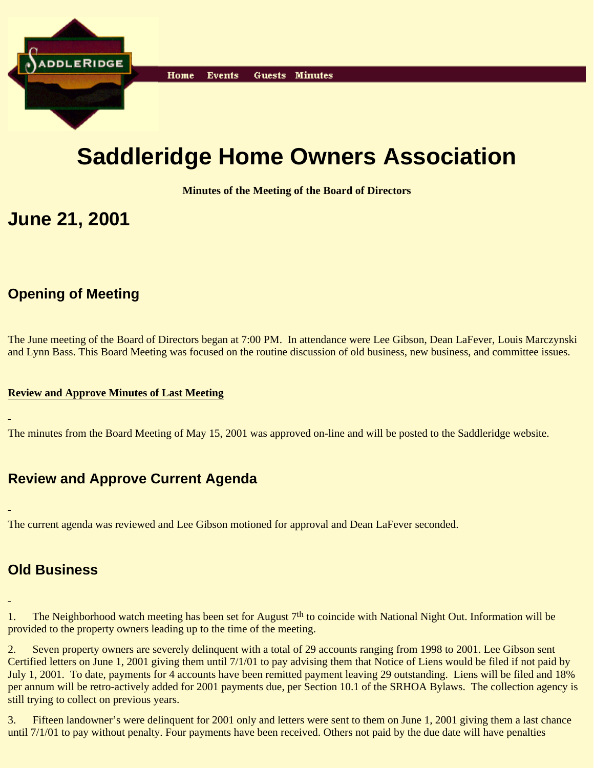

# **Saddleridge Home Owners Association**

**Minutes of the Meeting of the Board of Directors**

# **June 21, 2001**

# **Opening of Meeting**

The June meeting of the Board of Directors began at 7:00 PM. In attendance were Lee Gibson, Dean LaFever, Louis Marczynski and Lynn Bass. This Board Meeting was focused on the routine discussion of old business, new business, and committee issues.

#### **Review and Approve Minutes of Last Meeting**

The minutes from the Board Meeting of May 15, 2001 was approved on-line and will be posted to the Saddleridge website.

# **Review and Approve Current Agenda**

The current agenda was reviewed and Lee Gibson motioned for approval and Dean LaFever seconded.

### **Old Business**

1. The Neighborhood watch meeting has been set for August 7<sup>th</sup> to coincide with National Night Out. Information will be provided to the property owners leading up to the time of the meeting.

2. Seven property owners are severely delinquent with a total of 29 accounts ranging from 1998 to 2001. Lee Gibson sent Certified letters on June 1, 2001 giving them until 7/1/01 to pay advising them that Notice of Liens would be filed if not paid by July 1, 2001. To date, payments for 4 accounts have been remitted payment leaving 29 outstanding. Liens will be filed and 18% per annum will be retro-actively added for 2001 payments due, per Section 10.1 of the SRHOA Bylaws. The collection agency is still trying to collect on previous years.

3. Fifteen landowner's were delinquent for 2001 only and letters were sent to them on June 1, 2001 giving them a last chance until 7/1/01 to pay without penalty. Four payments have been received. Others not paid by the due date will have penalties